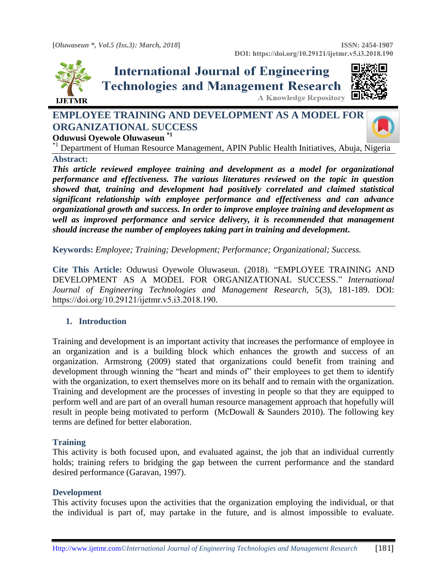

# **International Journal of Engineering Technologies and Management Research** A Knowledge Repository



## **EMPLOYEE TRAINING AND DEVELOPMENT AS A MODEL FOR ORGANIZATIONAL SUCCESS Oduwusi Oyewole Oluwaseun \*1**



\*<sup>1</sup> Department of Human Resource Management, APIN Public Health Initiatives, Abuja, Nigeria **Abstract:** 

*This article reviewed employee training and development as a model for organizational performance and effectiveness. The various literatures reviewed on the topic in question showed that, training and development had positively correlated and claimed statistical significant relationship with employee performance and effectiveness and can advance organizational growth and success. In order to improve employee training and development as well as improved performance and service delivery, it is recommended that management should increase the number of employees taking part in training and development***.**

**Keywords:** *Employee; Training; Development; Performance; Organizational; Success.* 

**Cite This Article:** Oduwusi Oyewole Oluwaseun. (2018). ―EMPLOYEE TRAINING AND DEVELOPMENT AS A MODEL FOR ORGANIZATIONAL SUCCESS." *International Journal of Engineering Technologies and Management Research,* 5(3), 181-189. DOI: https://doi.org/10.29121/ijetmr.v5.i3.2018.190.

## **1. Introduction**

Training and development is an important activity that increases the performance of employee in an organization and is a building block which enhances the growth and success of an organization. Armstrong (2009) stated that organizations could benefit from training and development through winning the "heart and minds of" their employees to get them to identify with the organization, to exert themselves more on its behalf and to remain with the organization. Training and development are the processes of investing in people so that they are equipped to perform well and are part of an overall human resource management approach that hopefully will result in people being motivated to perform (McDowall & Saunders 2010). The following key terms are defined for better elaboration.

#### **Training**

This activity is both focused upon, and evaluated against, the job that an individual currently holds; training refers to bridging the gap between the current performance and the standard desired performance (Garavan, 1997).

#### **Development**

This activity focuses upon the activities that the organization employing the individual, or that the individual is part of, may partake in the future, and is almost impossible to evaluate.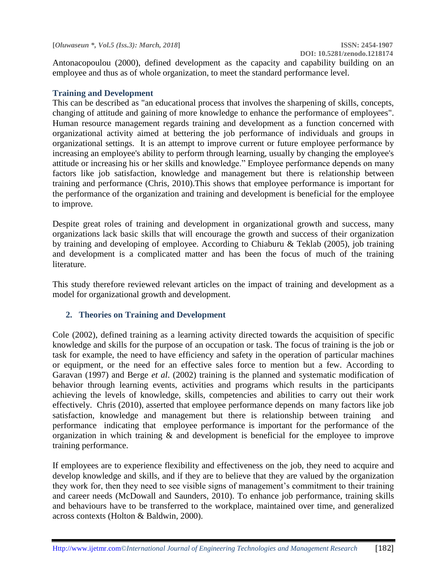Antonacopoulou (2000), defined development as the capacity and capability building on an employee and thus as of whole organization, to meet the standard performance level.

#### **Training and Development**

This can be described as "an educational process that involves the sharpening of skills, concepts, changing of attitude and gaining of more knowledge to enhance the performance of employees". Human resource management regards training and development as a function concerned with organizational activity aimed at bettering the job performance of individuals and groups in organizational settings. It is an attempt to improve current or future employee performance by increasing an employee's ability to perform through learning, usually by changing the employee's attitude or increasing his or her skills and knowledge." Employee performance depends on many factors like job satisfaction, knowledge and management but there is relationship between training and performance (Chris, 2010).This shows that employee performance is important for the performance of the organization and training and development is beneficial for the employee to improve.

Despite great roles of training and development in organizational growth and success, many organizations lack basic skills that will encourage the growth and success of their organization by training and developing of employee. According to [Chiaburu & Teklab \(2005\)](http://journals.sagepub.com/doi/full/10.1177/2158244011433338), job training and development is a complicated matter and has been the focus of much of the training literature.

This study therefore reviewed relevant articles on the impact of training and development as a model for organizational growth and development.

## **2. Theories on Training and Development**

Cole (2002), defined training as a learning activity directed towards the acquisition of specific knowledge and skills for the purpose of an occupation or task. The focus of training is the job or task for example, the need to have efficiency and safety in the operation of particular machines or equipment, or the need for an effective sales force to mention but a few. According to Garavan (1997) and Berge *et al*. (2002) training is the planned and systematic modification of behavior through learning events, activities and programs which results in the participants achieving the levels of knowledge, skills, competencies and abilities to carry out their work effectively. Chris (2010), asserted that employee performance depends on many factors like job satisfaction, knowledge and management but there is relationship between training and performance indicating that employee performance is important for the performance of the organization in which training & and development is beneficial for the employee to improve training performance.

If employees are to experience flexibility and effectiveness on the job, they need to acquire and develop knowledge and skills, and if they are to believe that they are valued by the organization they work for, then they need to see visible signs of management's commitment to their training and career needs (McDowall and Saunders, 2010). To enhance job performance, training skills and behaviours have to be transferred to the workplace, maintained over time, and generalized across contexts [\(Holton & Baldwin, 2000\)](http://journals.sagepub.com/doi/full/10.1177/2158244011433338).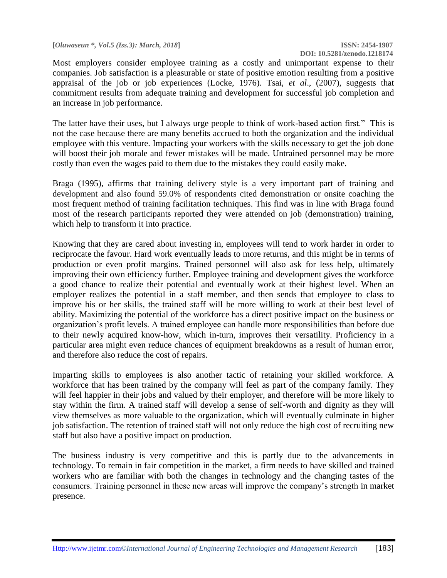**[***Oluwaseun \*, Vol.5 (Iss.3): March, 2018***] ISSN: 2454-1907**

Most employers consider employee training as a costly and unimportant expense to their companies. Job satisfaction is a pleasurable or state of positive emotion resulting from a positive appraisal of the job or job experiences [\(Locke, 1976\)](http://journals.sagepub.com/doi/full/10.1177/2158244011433338). Tsai, *et al*[., \(2007\)](http://journals.sagepub.com/doi/full/10.1177/2158244011433338), suggests that commitment results from adequate training and development for successful job completion and an increase in job performance.

The latter have their uses, but I always urge people to think of work-based action first." This is not the case because there are many benefits accrued to both the organization and the individual employee with this venture. Impacting your workers with the skills necessary to get the job done will boost their job morale and fewer mistakes will be made. Untrained personnel may be more costly than even the wages paid to them due to the mistakes they could easily make.

Braga (1995), affirms that training delivery style is a very important part of training and development and also found 59.0% of respondents cited demonstration or onsite coaching the most frequent method of training facilitation techniques. This find was in line with Braga found most of the research participants reported they were attended on job (demonstration) training, which help to transform it into practice.

Knowing that they are cared about investing in, employees will tend to work harder in order to reciprocate the favour. Hard work eventually leads to more returns, and this might be in terms of production or even profit margins. Trained personnel will also ask for less help, ultimately improving their own efficiency further. Employee training and development gives the workforce a good chance to realize their potential and eventually work at their highest level. When an employer realizes the potential in a staff member, and then sends that employee to class to improve his or her skills, the trained staff will be more willing to work at their best level of ability. Maximizing the potential of the workforce has a direct positive impact on the business or organization's profit levels. A trained employee can handle more responsibilities than before due to their newly acquired know-how, which in-turn, improves their versatility. Proficiency in a particular area might even reduce chances of equipment breakdowns as a result of human error, and therefore also reduce the cost of repairs.

Imparting skills to employees is also another tactic of retaining your skilled workforce. A workforce that has been trained by the company will feel as part of the company family. They will feel happier in their jobs and valued by their employer, and therefore will be more likely to stay within the firm. A trained staff will develop a sense of self-worth and dignity as they will view themselves as more valuable to the organization, which will eventually culminate in higher job satisfaction. The retention of trained staff will not only reduce the high cost of recruiting new staff but also have a positive impact on production.

The business industry is very competitive and this is partly due to the advancements in technology. To remain in fair competition in the market, a firm needs to have skilled and trained workers who are familiar with both the changes in technology and the changing tastes of the consumers. Training personnel in these new areas will improve the company's strength in market presence.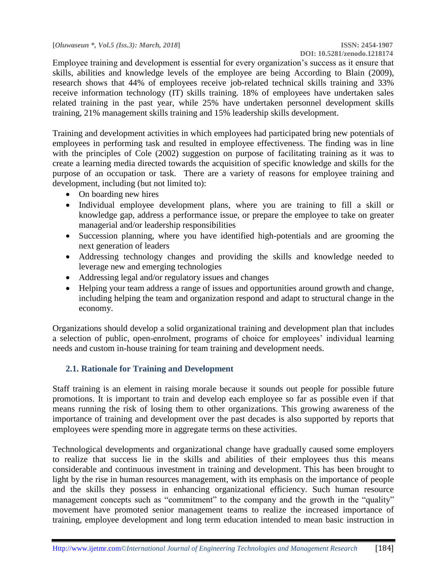Employee training and development is essential for every organization's success as it ensure that skills, abilities and knowledge levels of the employee are being According to Blain (2009), research shows that 44% of employees receive job-related technical skills training and 33% receive information technology (IT) skills training. 18% of employees have undertaken sales related training in the past year, while 25% have undertaken personnel development skills training, 21% management skills training and 15% leadership skills development.

Training and development activities in which employees had participated bring new potentials of employees in performing task and resulted in employee effectiveness. The finding was in line with the principles of Cole (2002) suggestion on purpose of facilitating training as it was to create a learning media directed towards the acquisition of specific knowledge and skills for the purpose of an occupation or task. There are a variety of reasons for employee training and development, including (but not limited to):

- On boarding new hires
- Individual employee development plans, where you are training to fill a skill or knowledge gap, address a performance issue, or prepare the employee to take on greater managerial and/or leadership responsibilities
- Succession planning, where you have identified high-potentials and are grooming the next generation of leaders
- Addressing technology changes and providing the skills and knowledge needed to leverage new and emerging technologies
- Addressing legal and/or regulatory issues and changes
- Helping your team address a range of issues and opportunities around growth and change, including helping the team and organization respond and adapt to structural change in the economy.

Organizations should develop a solid organizational training and development plan that includes a selection of public, open-enrolment, programs of choice for employees' individual learning needs and custom in-house training for team training and development needs.

## **2.1. Rationale for Training and Development**

Staff training is an element in raising morale because it sounds out people for possible future promotions. It is important to train and develop each employee so far as possible even if that means running the risk of losing them to other organizations. This growing awareness of the importance of training and development over the past decades is also supported by reports that employees were spending more in aggregate terms on these activities.

Technological developments and organizational change have gradually caused some employers to realize that success lie in the skills and abilities of their employees thus this means considerable and continuous investment in training and development. This has been brought to light by the rise in human resources management, with its emphasis on the importance of people and the skills they possess in enhancing organizational efficiency. Such human resource management concepts such as "commitment" to the company and the growth in the "quality" movement have promoted senior management teams to realize the increased importance of training, employee development and long term education intended to mean basic instruction in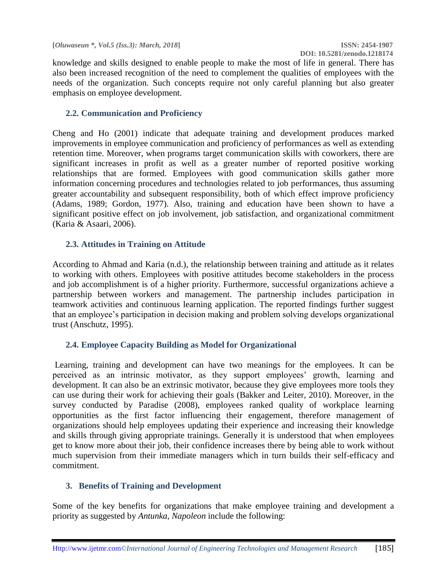knowledge and skills designed to enable people to make the most of life in general. There has also been increased recognition of the need to complement the qualities of employees with the needs of the organization. Such concepts require not only careful planning but also greater emphasis on employee development.

#### **2.2. Communication and Proficiency**

[Cheng and Ho \(2001\)](http://journals.sagepub.com/doi/full/10.1177/2158244011433338) indicate that adequate training and development produces marked improvements in employee communication and proficiency of performances as well as extending retention time. Moreover, when programs target communication skills with coworkers, there are significant increases in profit as well as a greater number of reported positive working relationships that are formed. Employees with good communication skills gather more information concerning procedures and technologies related to job performances, thus assuming greater accountability and subsequent responsibility, both of which effect improve proficiency [\(Adams, 1989;](http://journals.sagepub.com/doi/full/10.1177/2158244011433338) [Gordon, 1977\)](http://journals.sagepub.com/doi/full/10.1177/2158244011433338). Also, training and education have been shown to have a significant positive effect on job involvement, job satisfaction, and organizational commitment [\(Karia & Asaari, 2006\)](http://journals.sagepub.com/doi/full/10.1177/2158244011433338).

#### **2.3. Attitudes in Training on Attitude**

According to [Ahmad and Karia \(n.d.\),](http://journals.sagepub.com/doi/full/10.1177/2158244011433338) the relationship between training and attitude as it relates to working with others. Employees with positive attitudes become stakeholders in the process and job accomplishment is of a higher priority. Furthermore, successful organizations achieve a partnership between workers and management. The partnership includes participation in teamwork activities and continuous learning application. The reported findings further suggest that an employee's participation in decision making and problem solving develops organizational trust [\(Anschutz, 1995\)](http://journals.sagepub.com/doi/full/10.1177/2158244011433338).

## **2.4. Employee Capacity Building as Model for Organizational**

Learning, training and development can have two meanings for the employees. It can be perceived as an intrinsic motivator, as they support employees' growth, learning and development. It can also be an extrinsic motivator, because they give employees more tools they can use during their work for achieving their goals (Bakker and Leiter, 2010). Moreover, in the survey conducted by Paradise (2008), employees ranked quality of workplace learning opportunities as the first factor influencing their engagement, therefore management of organizations should help employees updating their experience and increasing their knowledge and skills through giving appropriate trainings. Generally it is understood that when employees get to know more about their job, their confidence increases there by being able to work without much supervision from their immediate managers which in turn builds their self-efficacy and commitment.

## **3. Benefits of Training and Development**

Some of the key benefits for organizations that make employee training and development a priority as suggested by *Antunka, Napoleon* include the following: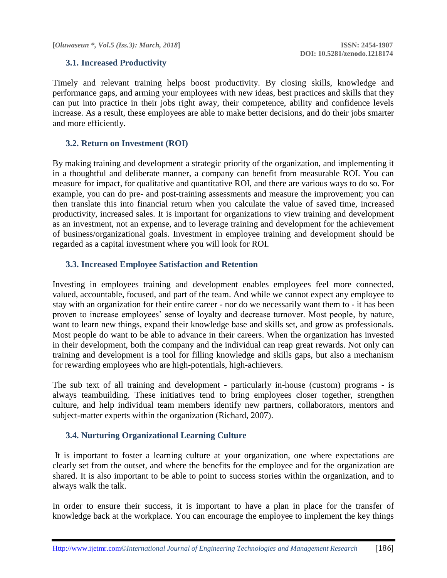**[***Oluwaseun \*, Vol.5 (Iss.3): March, 2018***] ISSN: 2454-1907**

#### **3.1. Increased Productivity**

Timely and relevant training helps boost productivity. By closing skills, knowledge and performance gaps, and arming your employees with new ideas, best practices and skills that they can put into practice in their jobs right away, their competence, ability and confidence levels increase. As a result, these employees are able to make better decisions, and do their jobs smarter and more efficiently.

#### **3.2. Return on Investment (ROI)**

By making training and development a strategic priority of the organization, and implementing it in a thoughtful and deliberate manner, a company can benefit from measurable ROI. You can measure for impact, for qualitative and quantitative ROI, and there are various ways to do so. For example, you can do pre- and post-training assessments and measure the improvement; you can then translate this into financial return when you calculate the value of saved time, increased productivity, increased sales. It is important for organizations to view training and development as an investment, not an expense, and to leverage training and development for the achievement of business/organizational goals. Investment in employee training and development should be regarded as a capital investment where you will look for ROI.

#### **3.3. Increased Employee Satisfaction and Retention**

Investing in employees training and development enables employees feel more connected, valued, accountable, focused, and part of the team. And while we cannot expect any employee to stay with an organization for their entire career - nor do we necessarily want them to - it has been proven to increase employees' sense of loyalty and decrease turnover. Most people, by nature, want to learn new things, expand their knowledge base and skills set, and grow as professionals. Most people do want to be able to advance in their careers. When the organization has invested in their development, both the company and the individual can reap great rewards. Not only can training and development is a tool for filling knowledge and skills gaps, but also a mechanism for rewarding employees who are high-potentials, high-achievers.

The sub text of all training and development - particularly in-house (custom) programs - is always teambuilding. These initiatives tend to bring employees closer together, strengthen culture, and help individual team members identify new partners, collaborators, mentors and subject-matter experts within the organization (Richard, 2007).

#### **3.4. Nurturing Organizational Learning Culture**

It is important to foster a learning culture at your organization, one where expectations are clearly set from the outset, and where the benefits for the employee and for the organization are shared. It is also important to be able to point to success stories within the organization, and to always walk the talk.

In order to ensure their success, it is important to have a plan in place for the transfer of knowledge back at the workplace. You can encourage the employee to implement the key things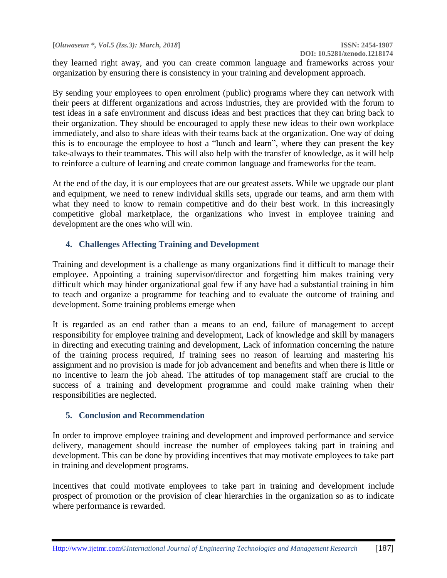they learned right away, and you can create common language and frameworks across your organization by ensuring there is consistency in your training and development approach.

By sending your employees to open enrolment (public) programs where they can network with their peers at different organizations and across industries, they are provided with the forum to test ideas in a safe environment and discuss ideas and best practices that they can bring back to their organization. They should be encouraged to apply these new ideas to their own workplace immediately, and also to share ideas with their teams back at the organization. One way of doing this is to encourage the employee to host a "lunch and learn", where they can present the key take-always to their teammates. This will also help with the transfer of knowledge, as it will help to reinforce a culture of learning and create common language and frameworks for the team.

At the end of the day, it is our employees that are our greatest assets. While we upgrade our plant and equipment, we need to renew individual skills sets, upgrade our teams, and arm them with what they need to know to remain competitive and do their best work. In this increasingly competitive global marketplace, the organizations who invest in employee training and development are the ones who will win.

## **4. Challenges Affecting Training and Development**

Training and development is a challenge as many organizations find it difficult to manage their employee. Appointing a training supervisor/director and forgetting him makes training very difficult which may hinder organizational goal few if any have had a substantial training in him to teach and organize a programme for teaching and to evaluate the outcome of training and development. Some training problems emerge when

It is regarded as an end rather than a means to an end, failure of management to accept responsibility for employee training and development, Lack of knowledge and skill by managers in directing and executing training and development, Lack of information concerning the nature of the training process required, If training sees no reason of learning and mastering his assignment and no provision is made for job advancement and benefits and when there is little or no incentive to learn the job ahead. The attitudes of top management staff are crucial to the success of a training and development programme and could make training when their responsibilities are neglected.

## **5. Conclusion and Recommendation**

In order to improve employee training and development and improved performance and service delivery, management should increase the number of employees taking part in training and development. This can be done by providing incentives that may motivate employees to take part in training and development programs.

Incentives that could motivate employees to take part in training and development include prospect of promotion or the provision of clear hierarchies in the organization so as to indicate where performance is rewarded.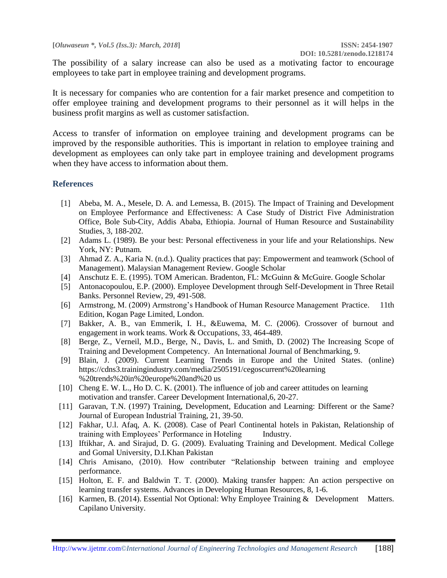The possibility of a salary increase can also be used as a motivating factor to encourage employees to take part in employee training and development programs.

It is necessary for companies who are contention for a fair market presence and competition to offer employee training and development programs to their personnel as it will helps in the business profit margins as well as customer satisfaction.

Access to transfer of information on employee training and development programs can be improved by the responsible authorities. This is important in relation to employee training and development as employees can only take part in employee training and development programs when they have access to information about them.

#### **References**

- [1] Abeba, M. A., Mesele, D. A. and Lemessa, B. (2015). The Impact of Training and Development on Employee Performance and Effectiveness: A Case Study of District Five Administration Office, Bole Sub-City, Addis Ababa, Ethiopia. Journal of Human Resource and Sustainability Studies, 3, 188-202.
- [2] Adams L. (1989). Be your best: Personal effectiveness in your life and your Relationships. New York, NY: Putnam.
- [3] Ahmad Z. A., Karia N. (n.d.). Quality practices that pay: Empowerment and teamwork (School of Management). Malaysian Management Review. Google Scholar
- [4] Anschutz E. E. (1995). TOM American. Bradenton, FL: McGuinn & McGuire. Google Scholar
- [5] Antonacopoulou, E.P. (2000). Employee Development through Self-Development in Three Retail Banks. Personnel Review, 29, 491-508.
- [6] Armstrong, M. (2009) Armstrong's Handbook of Human Resource Management Practice. 11th Edition, Kogan Page Limited, London.
- [7] Bakker, A. B., van Emmerik, I. H., &Euwema, M. C. (2006). Crossover of burnout and engagement in work teams. Work & Occupations, 33, 464-489.
- [8] Berge, Z., Verneil, M.D., Berge, N., Davis, L. and Smith, D. (2002) The Increasing Scope of Training and Development Competency. An International Journal of Benchmarking, 9.
- [9] Blain, J. (2009). Current Learning Trends in Europe and the United States. (online) https://cdns3.trainingindustry.com/media/2505191/cegoscurrent%20learning %20trends%20in%20europe%20and%20 us
- [10] Cheng E. W. L., Ho D. C. K. (2001). The influence of job and career attitudes on learning motivation and transfer. Career Development International,6, 20-27.
- [11] Garavan, T.N. (1997) Training, Development, Education and Learning: Different or the Same? Journal of European Industrial Training, 21, 39-50.
- [12] Fakhar, U.l. Afaq, A. K. (2008). Case of Pearl Continental hotels in Pakistan, Relationship of training with Employees' Performance in Hoteling Industry.
- [13] Iftikhar, A. and Sirajud, D. G. (2009). Evaluating Training and Development. Medical College and Gomal University, D.I.Khan Pakistan
- [14] Chris Amisano, (2010). How contributer "Relationship between training and employee performance.
- [15] Holton, E. F. and Baldwin T. T. (2000). Making transfer happen: An action perspective on learning transfer systems. Advances in Developing Human Resources, 8, 1-6.
- [16] Karmen, B. (2014). Essential Not Optional: Why Employee Training & Development Matters. Capilano University.